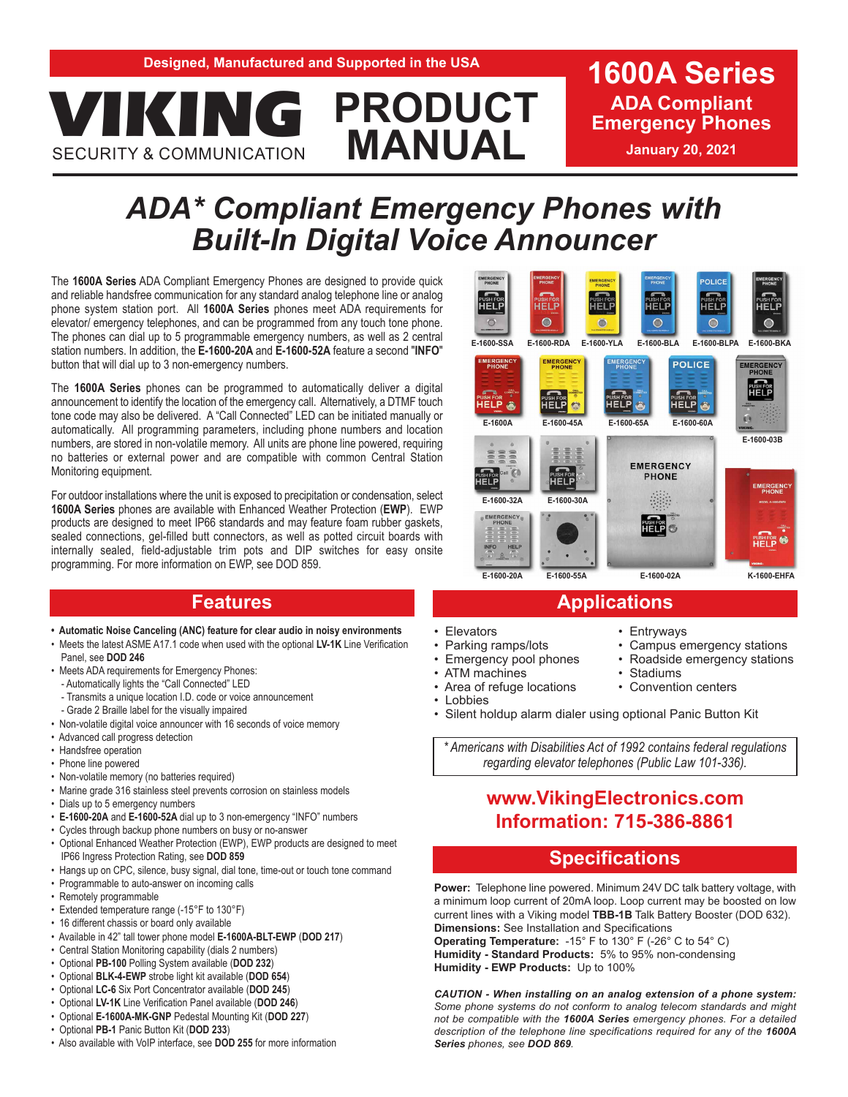# **PRODUCT MANUAL EXPRODUCT** ADA Complian<br> **EXPLOREGATE ADA COMMUNICATION**<br> **EXPLOREGATE ADA COMMUNICATION SECURITY & COMMUNICATION**

**ADA Compliant** 

# *ADA\* Compliant Emergency Phones with Built-In Digital Voice Announcer*

The **1600A Series** ADA Compliant Emergency Phones are designed to provide quick and reliable handsfree communication for any standard analog telephone line or analog phone system station port. All **1600A Series** phones meet ADA requirements for elevator/ emergency telephones, and can be programmed from any touch tone phone. The phones can dial up to 5 programmable emergency numbers, as well as 2 central station numbers. In addition, the **E-1600-20A** and **E-1600-52A** feature a second "**INFO**" button that will dial up to 3 non-emergency numbers.

The **1600A Series** phones can be programmed to automatically deliver a digital announcement to identify the location of the emergency call. Alternatively, a DTMF touch tone code may also be delivered. A "Call Connected" LED can be initiated manually or automatically. All programming parameters, including phone numbers and location numbers, are stored in non-volatile memory. All units are phone line powered, requiring no batteries or external power and are compatible with common Central Station Monitoring equipment.

For outdoor installations where the unit is exposed to precipitation or condensation, select **1600A Series** phones are available with Enhanced Weather Protection (**EWP**). EWP products are designed to meet IP66 standards and may feature foam rubber gaskets, sealed connections, gel-filled butt connectors, as well as potted circuit boards with internally sealed, field-adjustable trim pots and DIP switches for easy onsite programming. For more information on EWP, see DOD 859.

- **Automatic Noise Canceling (ANC) feature for clear audio in noisy environments**
- Meets the latest ASME A17.1 code when used with the optional **LV-1K** Line Verification Panel, see **DOD 246**
- Meets ADA requirements for Emergency Phones:
	- Automatically lights the "Call Connected" LED
	- Transmits a unique location I.D. code or voice announcement
	- Grade 2 Braille label for the visually impaired
- Non-volatile digital voice announcer with 16 seconds of voice memory
- Advanced call progress detection
- Handsfree operation
- Phone line powered
- Non-volatile memory (no batteries required)
- Marine grade 316 stainless steel prevents corrosion on stainless models
- Dials up to 5 emergency numbers
- **E-1600-20A** and **E-1600-52A** dial up to 3 non-emergency "INFO" numbers
- Cycles through backup phone numbers on busy or no-answer
- Optional Enhanced Weather Protection (EWP), EWP products are designed to meet IP66 Ingress Protection Rating, see **DOD 859**
- Hangs up on CPC, silence, busy signal, dial tone, time-out or touch tone command
- Programmable to auto-answer on incoming calls
- Remotely programmable
- Extended temperature range (-15°F to 130°F)
- 16 different chassis or board only available
- Available in 42" tall tower phone model **E-1600A-BLT-EWP** (**DOD 217**)
- Central Station Monitoring capability (dials 2 numbers)
- Optional **PB-100** Polling System available (**DOD 232**)
- Optional **BLK-4-EWP** strobe light kit available (**DOD 654**)
- Optional **LC-6** Six Port Concentrator available (**DOD 245**)
- Optional **LV-1K** Line Verification Panel available (**DOD 246**)
- Optional **E-1600A-MK-GNP** Pedestal Mounting Kit (**DOD 227**)
- Optional **PB-1** Panic Button Kit (**DOD 233**)





# **Features Applications**

- Elevators
- Parking ramps/lots
- Emergency pool phones
- ATM machines
- Area of refuge locations
- 
- Silent holdup alarm dialer using optional Panic Button Kit

*\* Americans with Disabilities Act of 1992 contains federal regulations regarding elevator telephones (Public Law 101-336).*

# **www.VikingElectronics.com Information: 715-386-8861**

### **Specifications**

**Power:** Telephone line powered. Minimum 24V DC talk battery voltage, with a minimum loop current of 20mA loop. Loop current may be boosted on low current lines with a Viking model **TBB-1B** Talk Battery Booster (DOD 632). **Dimensions:** See Installation and Specifications

**Operating Temperature:** -15° F to 130° F (-26° C to 54° C) **Humidity - Standard Products:** 5% to 95% non-condensing **Humidity - EWP Products:** Up to 100%

*CAUTION - When installing on an analog extension of a phone system: Some phone systems do not conform to analog telecom standards and might not be compatible with the 1600A Series emergency phones. For a detailed description of the telephone line specifications required for any of the 1600A Series phones, see DOD 869.*

- Entryways
- Campus emergency stations
- Roadside emergency stations
- Stadiums
- Convention centers

**Lobbies**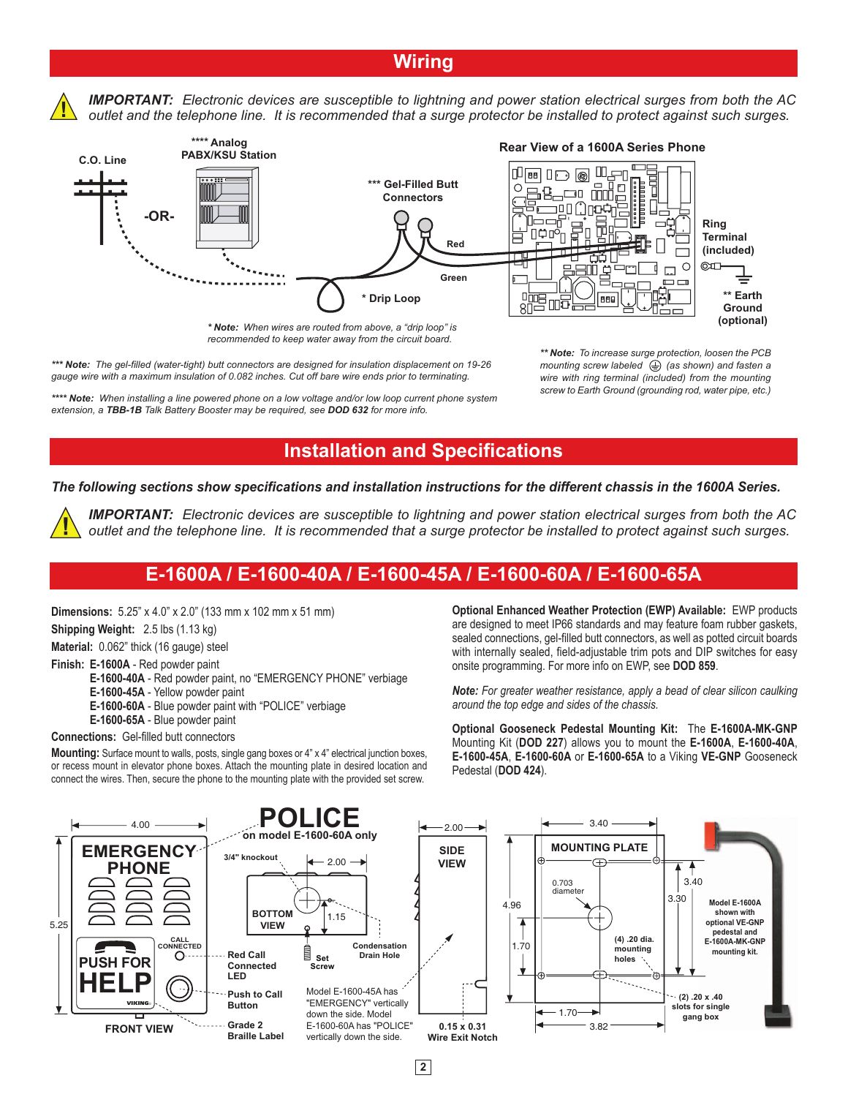# **Wiring**

*IMPORTANT: Electronic devices are susceptible to lightning and power station electrical surges from both the AC outlet and the telephone line. It is recommended that a surge protector be installed to protect against such surges.* 



*\* Note: When wires are routed from above, a "drip loop" is recommended to keep water away from the circuit board.*

### **Rear View of a 1600A Series Phone**



*\*\*\* Note: The gel-filled (water-tight) butt connectors are designed for insulation displacement on 19-26 gauge wire with a maximum insulation of 0.082 inches. Cut off bare wire ends prior to terminating.*

*\*\*\*\* Note: When installing a line powered phone on a low voltage and/or low loop current phone system extension, a TBB-1B Talk Battery Booster may be required, see DOD 632 for more info.*

*\*\* Note: To increase surge protection, loosen the PCB mounting screw labeled*  $\bigoplus$  (as shown) and fasten a *wire with ring terminal (included) from the mounting screw to Earth Ground (grounding rod, water pipe, etc.)*

## **Installation and Specifications**

*The following sections show specifications and installation instructions for the different chassis in the 1600A Series.*

*IMPORTANT: Electronic devices are susceptible to lightning and power station electrical surges from both the AC outlet and the telephone line. It is recommended that a surge protector be installed to protect against such surges.* 

# **E-1600A / E-1600-40A / E-1600-45A / E-1600-60A / E-1600-65A**

**Dimensions:** 5.25" x 4.0" x 2.0" (133 mm x 102 mm x 51 mm)

**Shipping Weight:** 2.5 lbs (1.13 kg)

**Material:** 0.062" thick (16 gauge) steel

**Finish: E-1600A** - Red powder paint

**E-1600-40A** - Red powder paint, no "EMERGENCY PHONE" verbiage

**E-1600-45A** - Yellow powder paint

 **E-1600-60A** - Blue powder paint with "POLICE" verbiage **E-1600-65A** - Blue powder paint

#### **Connections:** Gel-filled butt connectors

**Mounting:** Surface mount to walls, posts, single gang boxes or 4" x 4" electrical junction boxes, or recess mount in elevator phone boxes. Attach the mounting plate in desired location and connect the wires. Then, secure the phone to the mounting plate with the provided set screw.

**Optional Enhanced Weather Protection (EWP) Available:** EWP products are designed to meet IP66 standards and may feature foam rubber gaskets, sealed connections, gel-filled butt connectors, as well as potted circuit boards with internally sealed, field-adjustable trim pots and DIP switches for easy onsite programming. For more info on EWP, see **DOD 859**.

*Note: For greater weather resistance, apply a bead of clear silicon caulking around the top edge and sides of the chassis.* 

**Optional Gooseneck Pedestal Mounting Kit:** The **E-1600A-MK-GNP** Mounting Kit (**DOD 227**) allows you to mount the **E-1600A**, **E-1600-40A**, **E-1600-45A**, **E-1600-60A** or **E-1600-65A** to a Viking **VE-GNP** Gooseneck Pedestal (**DOD 424**).



**2**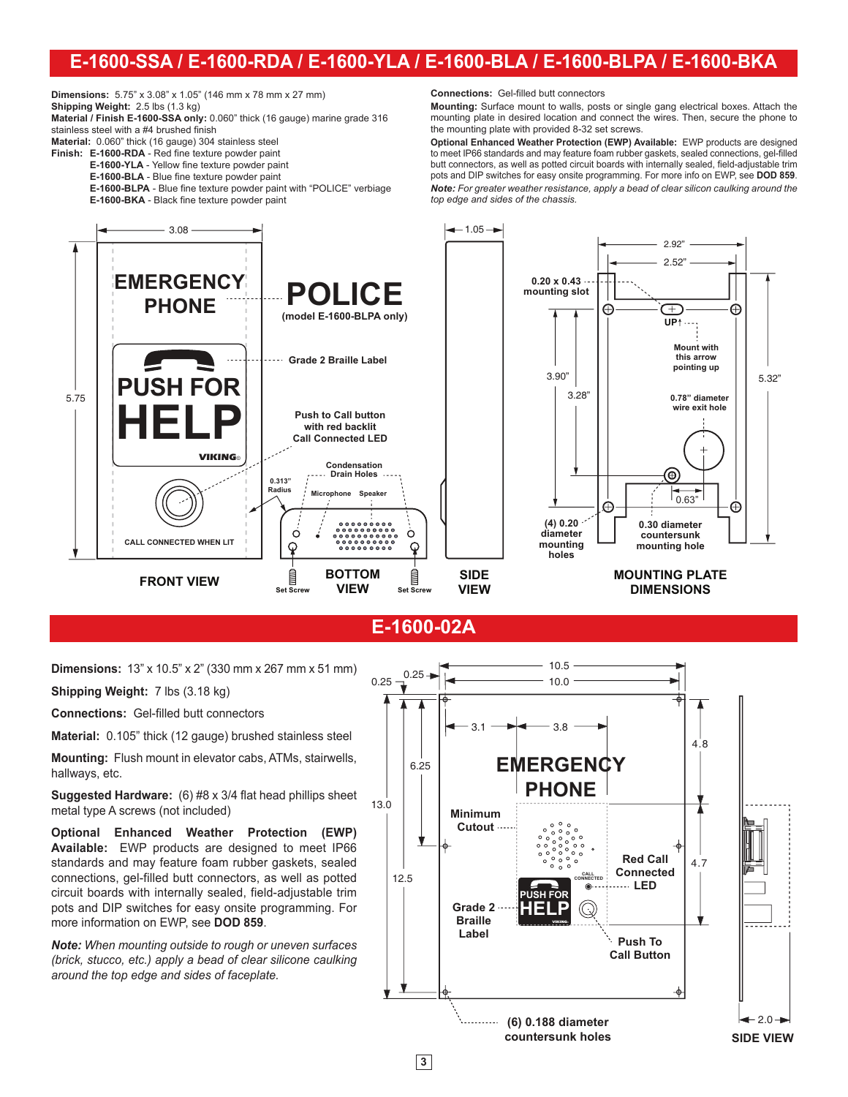# **E-1600-SSA / E-1600-RDA / E-1600-YLA / E-1600-BLA / E-1600-BLPA / E-1600-BKA**

**Dimensions:** 5.75" x 3.08" x 1.05" (146 mm x 78 mm x 27 mm)

**Shipping Weight:** 2.5 lbs (1.3 kg) **Material / Finish E-1600-SSA only:** 0.060" thick (16 gauge) marine grade 316 stainless steel with a #4 brushed finish **Material:** 0.060" thick (16 gauge) 304 stainless steel

**Finish: E-1600-RDA** - Red fine texture powder paint

- **E-1600-YLA** Yellow fine texture powder paint
- **E-1600-BLA** Blue fine texture powder paint

 **E-1600-BLPA** - Blue fine texture powder paint with "POLICE" verbiage **E-1600-BKA** - Black fine texture powder paint

**Connections:** Gel-filled butt connectors

**Mounting:** Surface mount to walls, posts or single gang electrical boxes. Attach the mounting plate in desired location and connect the wires. Then, secure the phone to the mounting plate with provided 8-32 set screws.

**Optional Enhanced Weather Protection (EWP) Available:** EWP products are designed to meet IP66 standards and may feature foam rubber gaskets, sealed connections, gel-filled butt connectors, as well as potted circuit boards with internally sealed, field-adjustable trim pots and DIP switches for easy onsite programming. For more info on EWP, see **DOD 859**. *Note: For greater weather resistance, apply a bead of clear silicon caulking around the top edge and sides of the chassis.*



**E-1600-02A**

**Dimensions:** 13" x 10.5" x 2" (330 mm x 267 mm x 51 mm)

**Shipping Weight:** 7 lbs (3.18 kg)

**Connections:** Gel-filled butt connectors

**Material:** 0.105" thick (12 gauge) brushed stainless steel

**Mounting:** Flush mount in elevator cabs, ATMs, stairwells, hallways, etc.

**Suggested Hardware:** (6) #8 x 3/4 flat head phillips sheet metal type A screws (not included)

**Optional Enhanced Weather Protection (EWP) Available:** EWP products are designed to meet IP66 standards and may feature foam rubber gaskets, sealed connections, gel-filled butt connectors, as well as potted circuit boards with internally sealed, field-adjustable trim pots and DIP switches for easy onsite programming. For more information on EWP, see **DOD 859**.

*Note: When mounting outside to rough or uneven surfaces (brick, stucco, etc.) apply a bead of clear silicone caulking around the top edge and sides of faceplate.*



**3**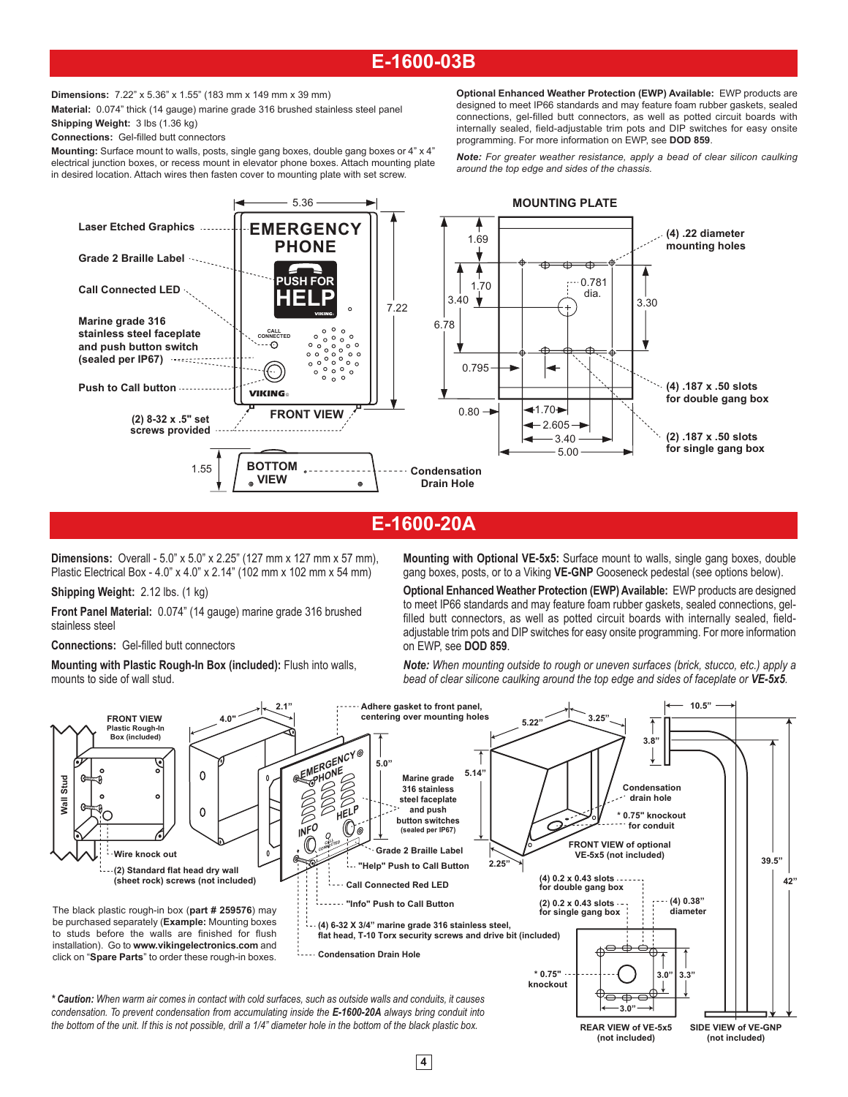# **E-1600-03B**

**Dimensions:** 7.22" x 5.36" x 1.55" (183 mm x 149 mm x 39 mm)

**Material:** 0.074" thick (14 gauge) marine grade 316 brushed stainless steel panel **Shipping Weight:** 3 lbs (1.36 kg)

**Connections:** Gel-filled butt connectors

**Mounting:** Surface mount to walls, posts, single gang boxes, double gang boxes or 4" x 4" electrical junction boxes, or recess mount in elevator phone boxes. Attach mounting plate in desired location. Attach wires then fasten cover to mounting plate with set screw.

**Optional Enhanced Weather Protection (EWP) Available:** EWP products are designed to meet IP66 standards and may feature foam rubber gaskets, sealed connections, gel-filled butt connectors, as well as potted circuit boards with internally sealed, field-adjustable trim pots and DIP switches for easy onsite programming. For more information on EWP, see **DOD 859**.

*Note: For greater weather resistance, apply a bead of clear silicon caulking around the top edge and sides of the chassis.*



## **E-1600-20A**

**Dimensions:** Overall - 5.0" x 5.0" x 2.25" (127 mm x 127 mm x 57 mm), Plastic Electrical Box - 4.0" x 4.0" x 2.14" (102 mm x 102 mm x 54 mm)

**Shipping Weight:** 2.12 lbs. (1 kg)

**Front Panel Material:** 0.074" (14 gauge) marine grade 316 brushed stainless steel

**Connections:** Gel-filled butt connectors

**Mounting with Plastic Rough-In Box (included):** Flush into walls, mounts to side of wall stud.

**Mounting with Optional VE-5x5:** Surface mount to walls, single gang boxes, double gang boxes, posts, or to a Viking **VE-GNP** Gooseneck pedestal (see options below).

**Optional Enhanced Weather Protection (EWP) Available:** EWP products are designed to meet IP66 standards and may feature foam rubber gaskets, sealed connections, gelfilled butt connectors, as well as potted circuit boards with internally sealed, fieldadjustable trim pots and DIP switches for easy onsite programming. For more information on EWP, see **DOD 859**.

*Note: When mounting outside to rough or uneven surfaces (brick, stucco, etc.) apply a bead of clear silicone caulking around the top edge and sides of faceplate or VE-5x5.*

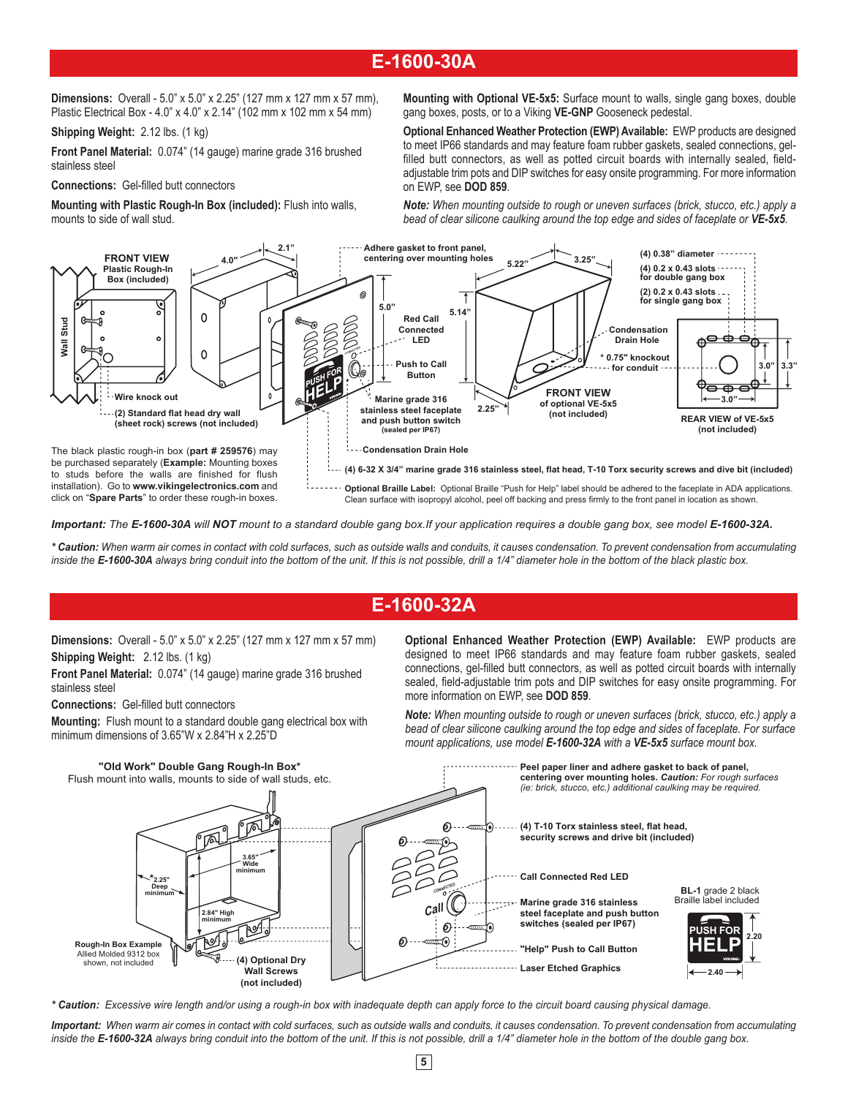# **E-1600-30A**

**Dimensions:** Overall - 5.0" x 5.0" x 2.25" (127 mm x 127 mm x 57 mm), Plastic Electrical Box - 4.0" x 4.0" x 2.14" (102 mm x 102 mm x 54 mm)

**Shipping Weight:** 2.12 lbs. (1 kg)

**Front Panel Material:** 0.074" (14 gauge) marine grade 316 brushed stainless steel

**Connections:** Gel-filled butt connectors

**Mounting with Plastic Rough-In Box (included):** Flush into walls, mounts to side of wall stud.

**Mounting with Optional VE-5x5:** Surface mount to walls, single gang boxes, double gang boxes, posts, or to a Viking **VE-GNP** Gooseneck pedestal.

**Optional Enhanced Weather Protection (EWP) Available:** EWP products are designed to meet IP66 standards and may feature foam rubber gaskets, sealed connections, gelfilled butt connectors, as well as potted circuit boards with internally sealed, fieldadjustable trim pots and DIP switches for easy onsite programming. For more information on EWP, see **DOD 859**.

*Note: When mounting outside to rough or uneven surfaces (brick, stucco, etc.) apply a bead of clear silicone caulking around the top edge and sides of faceplate or VE-5x5.*



*Important: The E-1600-30A will NOT mount to a standard double gang box.If your application requires a double gang box, see model E-1600-32A.*

*\* Caution: When warm air comes in contact with cold surfaces, such as outside walls and conduits, it causes condensation. To prevent condensation from accumulating inside the E-1600-30A always bring conduit into the bottom of the unit. If this is not possible, drill a 1/4" diameter hole in the bottom of the black plastic box.*

## **E-1600-32A**

**Dimensions:** Overall - 5.0" x 5.0" x 2.25" (127 mm x 127 mm x 57 mm) **Shipping Weight:** 2.12 lbs. (1 kg)

**Front Panel Material:** 0.074" (14 gauge) marine grade 316 brushed stainless steel

**Connections:** Gel-filled butt connectors

**Mounting:** Flush mount to a standard double gang electrical box with minimum dimensions of 3.65"W x 2.84"H x 2.25"D

**Optional Enhanced Weather Protection (EWP) Available:** EWP products are designed to meet IP66 standards and may feature foam rubber gaskets, sealed connections, gel-filled butt connectors, as well as potted circuit boards with internally sealed, field-adjustable trim pots and DIP switches for easy onsite programming. For more information on EWP, see **DOD 859**.

*Note: When mounting outside to rough or uneven surfaces (brick, stucco, etc.) apply a bead of clear silicone caulking around the top edge and sides of faceplate. For surface mount applications, use model E-1600-32A with a VE-5x5 surface mount box.* 



*\* Caution: Excessive wire length and/or using a rough-in box with inadequate depth can apply force to the circuit board causing physical damage.* 

*Important: When warm air comes in contact with cold surfaces, such as outside walls and conduits, it causes condensation. To prevent condensation from accumulating inside the E-1600-32A always bring conduit into the bottom of the unit. If this is not possible, drill a 1/4" diameter hole in the bottom of the double gang box.*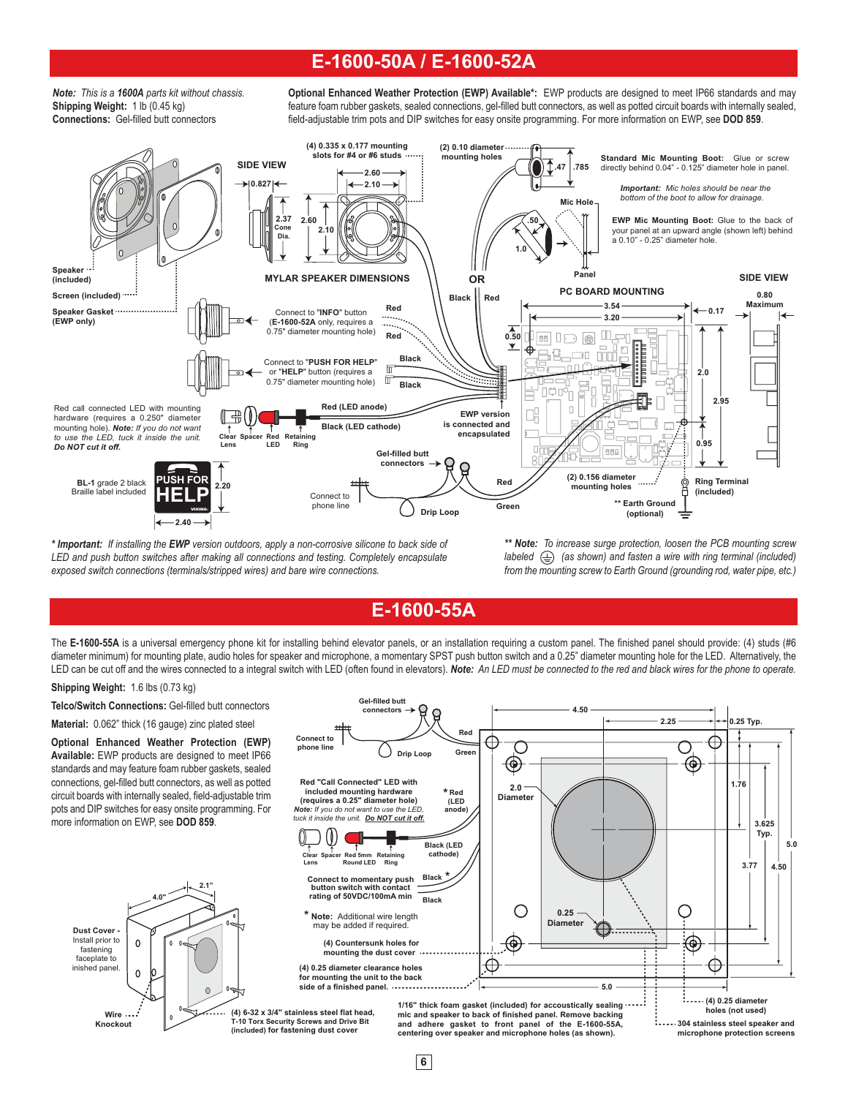### **E-1600-50A / E-1600-52A**

*Note: This is a 1600A parts kit without chassis.*  **Shipping Weight:** 1 lb (0.45 kg) **Connections:** Gel-filled butt connectors

**Optional Enhanced Weather Protection (EWP) Available\*:** EWP products are designed to meet IP66 standards and may feature foam rubber gaskets, sealed connections, gel-filled butt connectors, as well as potted circuit boards with internally sealed, field-adjustable trim pots and DIP switches for easy onsite programming. For more information on EWP, see **DOD 859**.



*\* Important: If installing the EWP version outdoors, apply a non-corrosive silicone to back side of LED and push button switches after making all connections and testing. Completely encapsulate exposed switch connections (terminals/stripped wires) and bare wire connections.*

*\*\* Note: To increase surge protection, loosen the PCB mounting screw labeled*  $\left(\frac{\mathbb{I}}{\mathbb{I}}\right)$  (as shown) and fasten a wire with ring terminal (included) *from the mounting screw to Earth Ground (grounding rod, water pipe, etc.)*

**2.25**

**0.25 Typ.**

**4.50**

**E-1600-55A**

The E-1600-55A is a universal emergency phone kit for installing behind elevator panels, or an installation requiring a custom panel. The finished panel should provide: (4) studs (#6 diameter minimum) for mounting plate, audio holes for speaker and microphone, a momentary SPST push button switch and a 0.25" diameter mounting hole for the LED. Alternatively, the LED can be cut off and the wires connected to a integral switch with LED (often found in elevators). *Note: An LED must be connected to the red and black wires for the phone to operate.* 

C

**Gel-filled butt connectors**

#### **Shipping Weight:** 1.6 lbs (0.73 kg)

**Wire Knockout**

**Dust Cover -** Install prior to fastening faceplate to inished panel.

**Telco/Switch Connections:** Gel-filled butt connectors

**Material:** 0.062" thick (16 gauge) zinc plated steel

**Optional Enhanced Weather Protection (EWP) Available:** EWP products are designed to meet IP66 standards and may feature foam rubber gaskets, sealed connections, gel-filled butt connectors, as well as potted circuit boards with internally sealed, field-adjustable trim pots and DIP switches for easy onsite programming. For more information on EWP, see **DOD 859**.

**4.0"**

 $\Omega$ 

 $\Omega$ 

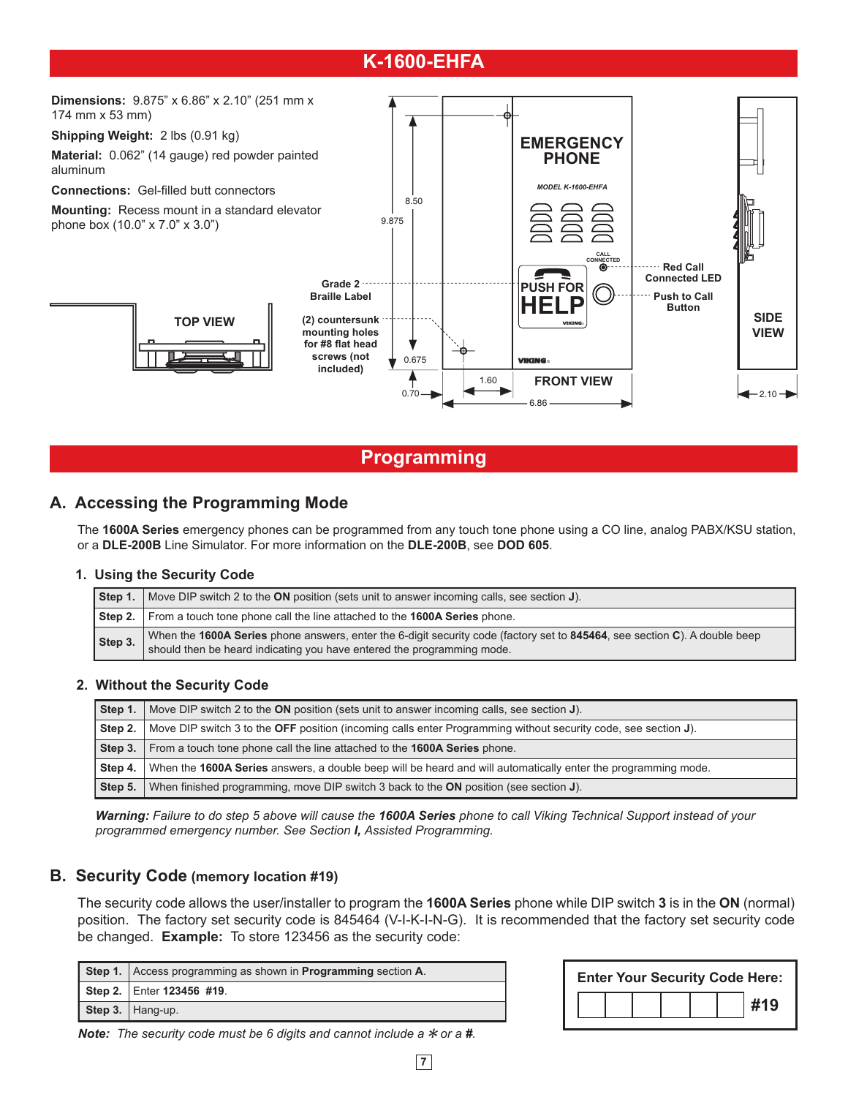# **K-1600-EHFA**



### **Programming**

### **A. Accessing the Programming Mode**

The **1600A Series** emergency phones can be programmed from any touch tone phone using a CO line, analog PABX/KSU station, or a **DLE-200B** Line Simulator. For more information on the **DLE-200B**, see **DOD 605**.

### **1. Using the Security Code**

| Step 1. | Nove DIP switch 2 to the ON position (sets unit to answer incoming calls, see section J).                                                                                                         |
|---------|---------------------------------------------------------------------------------------------------------------------------------------------------------------------------------------------------|
|         | Step 2.   From a touch tone phone call the line attached to the 1600A Series phone.                                                                                                               |
| Step 3. | When the 1600A Series phone answers, enter the 6-digit security code (factory set to 845464, see section C). A double beep should then be heard indicating you have entered the programming mode. |

### **2. Without the Security Code**

| Step 1. | Nove DIP switch 2 to the ON position (sets unit to answer incoming calls, see section J).                      |
|---------|----------------------------------------------------------------------------------------------------------------|
| Step 2. | Move DIP switch 3 to the OFF position (incoming calls enter Programming without security code, see section J). |
| Step 3. | From a touch tone phone call the line attached to the 1600A Series phone.                                      |
| Step 4. | When the 1600A Series answers, a double beep will be heard and will automatically enter the programming mode.  |
| Step 5. | When finished programming, move DIP switch 3 back to the ON position (see section J).                          |

*Warning: Failure to do step 5 above will cause the 1600A Series phone to call Viking Technical Support instead of your programmed emergency number. See Section I, Assisted Programming.*

### **B. Security Code (memory location #19)**

The security code allows the user/installer to program the **1600A Series** phone while DIP switch **3** is in the **ON** (normal) position. The factory set security code is 845464 (V-I-K-I-N-G). It is recommended that the factory set security code be changed. **Example:** To store 123456 as the security code:

| <b>Step 1.</b> Access programming as shown in <b>Programming</b> section <b>A</b> . |
|-------------------------------------------------------------------------------------|
| Step 2.   Enter 123456 #19.                                                         |
| Step 3. $ $ Hang-up.                                                                |

|  |  |  | <b>Enter Your Security Code Here:</b> |
|--|--|--|---------------------------------------|
|  |  |  | #19                                   |
|  |  |  |                                       |

*Note:* The security code must be 6 digits and cannot include a  $*$  or a #.

**7**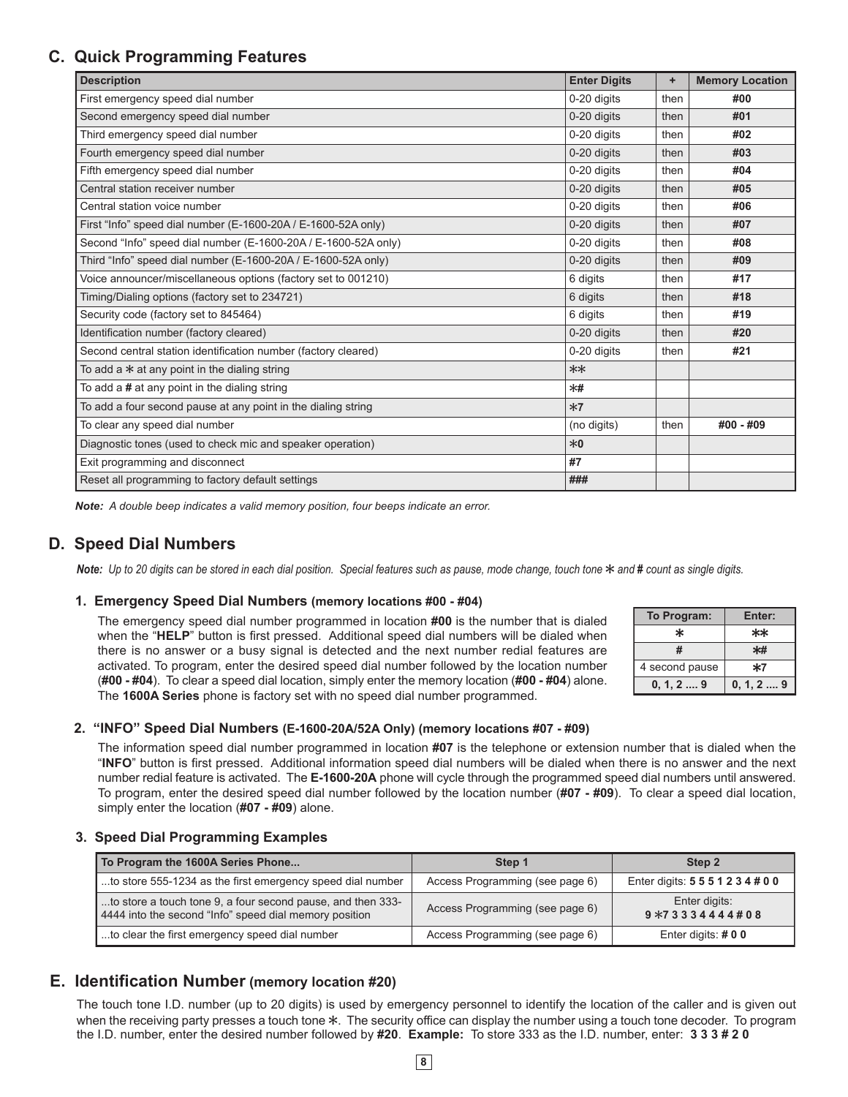## **C. Quick Programming Features**

| <b>Description</b>                                             | <b>Enter Digits</b> | ÷    | <b>Memory Location</b> |
|----------------------------------------------------------------|---------------------|------|------------------------|
| First emergency speed dial number                              | 0-20 digits         | then | #00                    |
| Second emergency speed dial number                             | 0-20 digits         | then | #01                    |
| Third emergency speed dial number                              | 0-20 digits         | then | #02                    |
| Fourth emergency speed dial number                             | 0-20 digits         | then | #03                    |
| Fifth emergency speed dial number                              | 0-20 digits         | then | #04                    |
| Central station receiver number                                | 0-20 digits         | then | #05                    |
| Central station voice number                                   | 0-20 digits         | then | #06                    |
| First "Info" speed dial number (E-1600-20A / E-1600-52A only)  | 0-20 digits         | then | #07                    |
| Second "Info" speed dial number (E-1600-20A / E-1600-52A only) | 0-20 digits         | then | #08                    |
| Third "Info" speed dial number (E-1600-20A / E-1600-52A only)  | 0-20 digits         | then | #09                    |
| Voice announcer/miscellaneous options (factory set to 001210)  | 6 digits            | then | #17                    |
| Timing/Dialing options (factory set to 234721)                 | 6 digits            | then | #18                    |
| Security code (factory set to 845464)                          | 6 digits            | then | #19                    |
| Identification number (factory cleared)                        | 0-20 digits         | then | #20                    |
| Second central station identification number (factory cleared) | 0-20 digits         | then | #21                    |
| To add a $*$ at any point in the dialing string                | $**$                |      |                        |
| To add a $\#$ at any point in the dialing string               | $*$ #               |      |                        |
| To add a four second pause at any point in the dialing string  | $*7$                |      |                        |
| To clear any speed dial number                                 | (no digits)         | then | #00 - #09              |
| Diagnostic tones (used to check mic and speaker operation)     | $*0$                |      |                        |
| Exit programming and disconnect                                | #7                  |      |                        |
| Reset all programming to factory default settings              | ###                 |      |                        |

*Note: A double beep indicates a valid memory position, four beeps indicate an error.*

### **D. Speed Dial Numbers**

Note: Up to 20 digits can be stored in each dial position. Special features such as pause, mode change, touch tone  $*$  and  $#$  count as single digits.

### **1. Emergency Speed Dial Numbers (memory locations #00 - #04)**

The emergency speed dial number programmed in location **#00** is the number that is dialed when the "**HELP**" button is first pressed. Additional speed dial numbers will be dialed when there is no answer or a busy signal is detected and the next number redial features are activated. To program, enter the desired speed dial number followed by the location number (**#00 - #04**). To clear a speed dial location, simply enter the memory location (**#00 - #04**) alone. The **1600A Series** phone is factory set with no speed dial number programmed.

| To Program:        | Enter:              |
|--------------------|---------------------|
| ×                  | $**$                |
| #                  |                     |
| 4 second pause     | $*7$                |
| $0, 1, 2, \dots 9$ | $0, 1, 2, \ldots 9$ |

### **2. "INFO" Speed Dial Numbers (E-1600-20A/52A Only) (memory locations #07 - #09)**

The information speed dial number programmed in location **#07** is the telephone or extension number that is dialed when the "**INFO**" button is first pressed. Additional information speed dial numbers will be dialed when there is no answer and the next number redial feature is activated. The **E-1600-20A** phone will cycle through the programmed speed dial numbers until answered. To program, enter the desired speed dial number followed by the location number (**#07 - #09**). To clear a speed dial location, simply enter the location (**#07 - #09**) alone.

### **3. Speed Dial Programming Examples**

| To Program the 1600A Series Phone                                                                                     | Step 1                          | Step 2                            |
|-----------------------------------------------------------------------------------------------------------------------|---------------------------------|-----------------------------------|
| to store 555-1234 as the first emergency speed dial number                                                            | Access Programming (see page 6) | Enter digits: 5 5 5 1 2 3 4 # 0 0 |
| to store a touch tone 9, a four second pause, and then 333-<br>4444 into the second "Info" speed dial memory position | Access Programming (see page 6) | Enter digits:<br>$9*733344444408$ |
| to clear the first emergency speed dial number                                                                        | Access Programming (see page 6) | Enter digits: $#00$               |

### **E. Identification Number (memory location #20)**

The touch tone I.D. number (up to 20 digits) is used by emergency personnel to identify the location of the caller and is given out when the receiving party presses a touch tone  $*$ . The security office can display the number using a touch tone decoder. To program the I.D. number, enter the desired number followed by **#20**. **Example:** To store 333 as the I.D. number, enter: **3 3 3 # 2 0**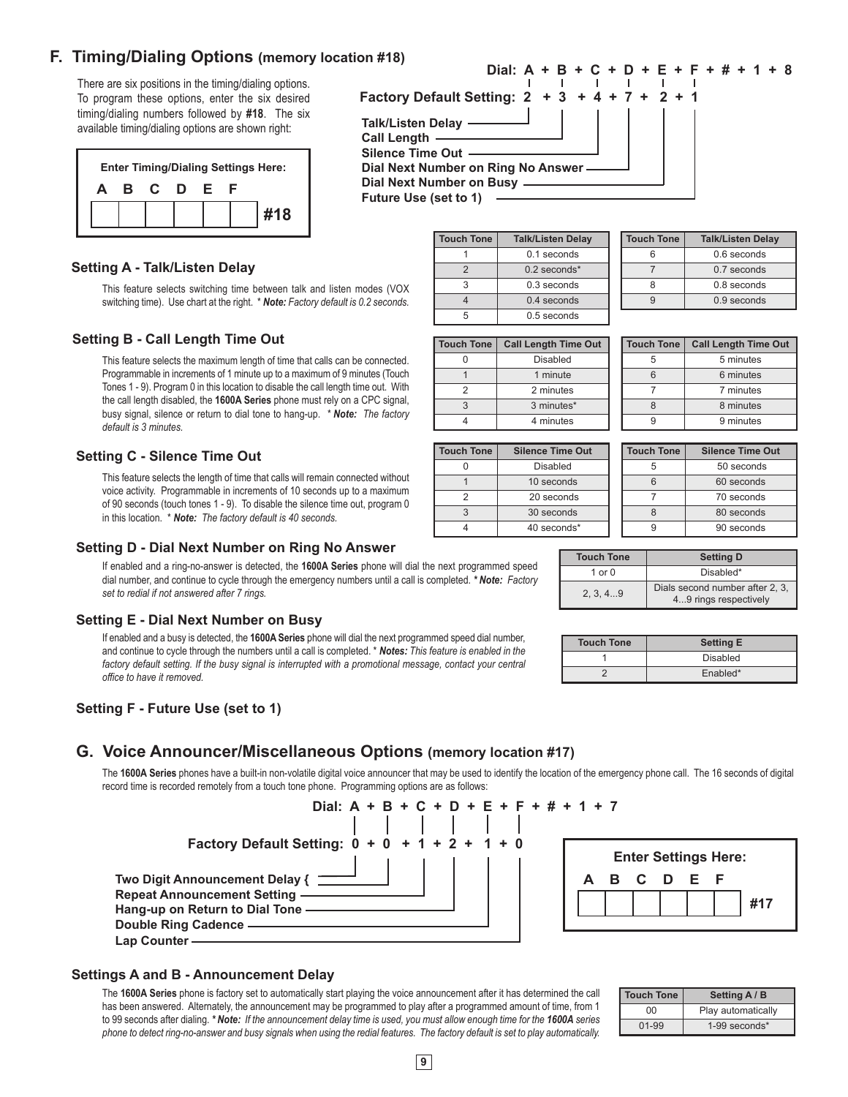### **F. Timing/Dialing Options (memory location #18)**

There are six positions in the timing/dialing options. To program these options, enter the six desired timing/dialing numbers followed by **#18**. The six available timing/dialing options are shown right:

|  |         |    | <b>Enter Timing/Dialing Settings Here:</b> |
|--|---------|----|--------------------------------------------|
|  | B C D E | ь. |                                            |
|  |         |    | #18                                        |

### **Dial: A + B + C + D + E + F + # + 1 + 8 Factory Default Setting: 2 + 3 + 4 + 7 + 2 + 1 Talk/Listen Delay Call Length Silence Time Out Dial Next Number on Ring No Answer Dial Next Number on Busy**

**Future Use (set to 1)**

|  | $0.1$ seconds  |
|--|----------------|
|  | $0.2$ seconds* |
|  | $0.3$ seconds  |
|  | $0.4$ seconds  |
|  | 0.5 seconds    |

**Touch Tone Talk/Listen Delay**

|  | <b>Touch Tone</b> | <b>Talk/Listen Delay</b> |
|--|-------------------|--------------------------|
|  |                   | 0.6 seconds              |
|  |                   | 0.7 seconds              |
|  |                   | 0.8 seconds              |
|  |                   | $0.9$ seconds            |

| <b>Touch Tone</b> | <b>Call Length Time Out</b> |
|-------------------|-----------------------------|
|                   | Disabled                    |
|                   | 1 minute                    |
| 2                 | 2 minutes                   |
| 3                 | 3 minutes*                  |
|                   | 4 minutes                   |

| <b>Touch Tone</b> | <b>Silence Time Out</b> |
|-------------------|-------------------------|
|                   | Disabled                |
|                   | 10 seconds              |
| 2                 | 20 seconds              |
|                   | 30 seconds              |
|                   | 40 seconds*             |
|                   |                         |

| <b>Touch Tone</b> | <b>Call Length Time Out</b> |  |
|-------------------|-----------------------------|--|
| 5                 | 5 minutes                   |  |
| հ                 | 6 minutes                   |  |
|                   | 7 minutes                   |  |
| ጸ                 | 8 minutes                   |  |
|                   | 9 minutes                   |  |

|  |   | <b>Touch Tone</b> | <b>Silence Time Out</b> |  |
|--|---|-------------------|-------------------------|--|
|  |   |                   | 50 seconds              |  |
|  | հ |                   | 60 seconds              |  |
|  |   |                   | 70 seconds              |  |
|  |   |                   | 80 seconds              |  |
|  |   |                   | 90 seconds              |  |
|  |   |                   |                         |  |

| <b>Touch Tone</b> | <b>Setting D</b>                                         |  |
|-------------------|----------------------------------------------------------|--|
| 1 or $0$          | Disabled*                                                |  |
| 2, 3, 49          | Dials second number after 2, 3,<br>49 rings respectively |  |

| <b>Touch Tone</b> | <b>Setting E</b> |  |
|-------------------|------------------|--|
|                   | Disabled         |  |
|                   | Enabled*         |  |

### **Setting A - Talk/Listen Delay**

This feature selects switching time between talk and listen modes (VOX switching time). Use chart at the right. \* *Note: Factory default is 0.2 seconds.*

### **Setting B - Call Length Time Out**

This feature selects the maximum length of time that calls can be connected. Programmable in increments of 1 minute up to a maximum of 9 minutes (Touch Tones 1 - 9). Program 0 in this location to disable the call length time out. With the call length disabled, the **1600A Series** phone must rely on a CPC signal, busy signal, silence or return to dial tone to hang-up. *\* Note: The factory default is 3 minutes.*

### **Setting C - Silence Time Out**

This feature selects the length of time that calls will remain connected without voice activity. Programmable in increments of 10 seconds up to a maximum of 90 seconds (touch tones 1 - 9). To disable the silence time out, program 0 in this location. \* *Note: The factory default is 40 seconds.*

#### **Setting D - Dial Next Number on Ring No Answer**

If enabled and a ring-no-answer is detected, the **1600A Series** phone will dial the next programmed speed dial number, and continue to cycle through the emergency numbers until a call is completed. *\* Note: Factory set to redial if not answered after 7 rings.*

#### **Setting E - Dial Next Number on Busy**

If enabled and a busy is detected, the **1600A Series** phone will dial the next programmed speed dial number, and continue to cycle through the numbers until a call is completed. \* *Notes: This feature is enabled in the*  factory default setting. If the busy signal is interrupted with a promotional message, contact your central *office to have it removed.*

### **Setting F - Future Use (set to 1)**

### **G. Voice Announcer/Miscellaneous Options (memory location #17)**

The 1600A Series phones have a built-in non-volatile digital voice announcer that may be used to identify the location of the emergency phone call. The 16 seconds of digital record time is recorded remotely from a touch tone phone. Programming options are as follows:



#### **Settings A and B - Announcement Delay**

The **1600A Series** phone is factory set to automatically start playing the voice announcement after it has determined the call has been answered. Alternately, the announcement may be programmed to play after a programmed amount of time, from 1 to 99 seconds after dialing. *\* Note:* If the announcement delay time is used, you must allow enough time for the 1600A series *phone to detect ring-no-answer and busy signals when using the redial features. The factory default is set to play automatically.*

| <b>Touch Tone</b> | Setting A / B      |  |
|-------------------|--------------------|--|
| n                 | Play automatically |  |
| 01-99             | $1-99$ seconds*    |  |

 **#17**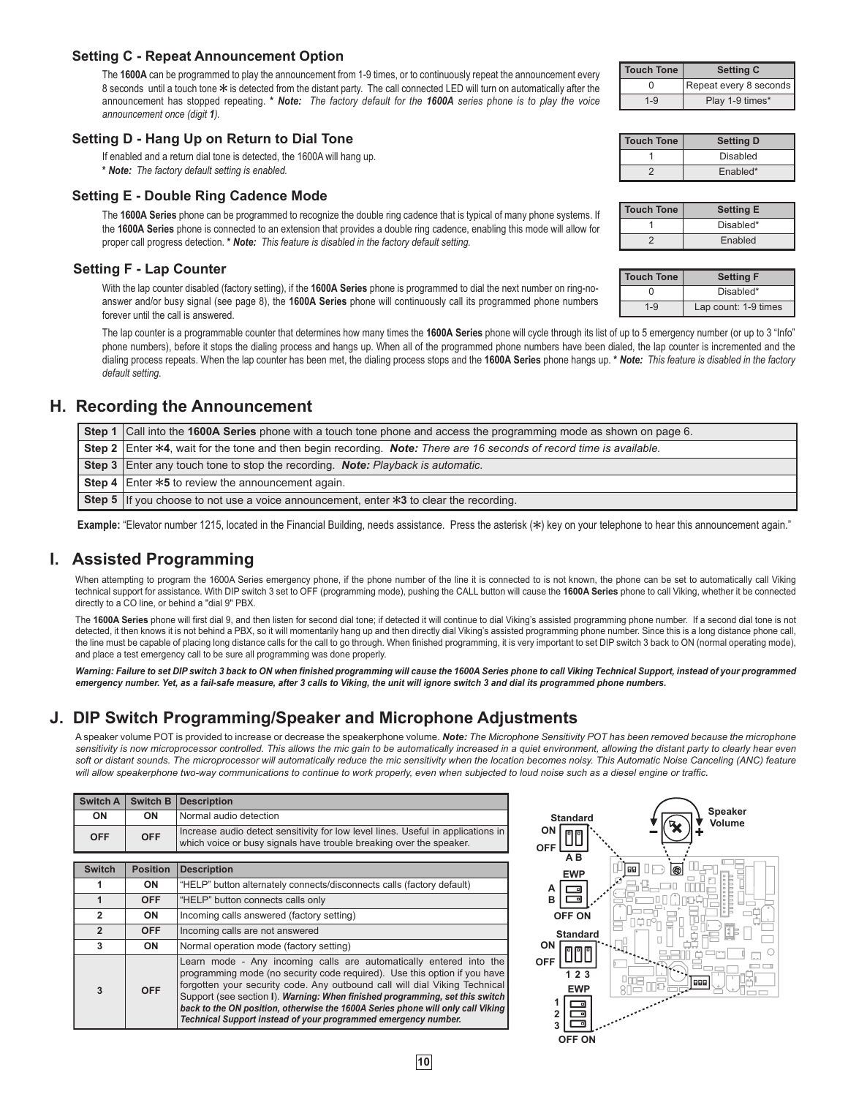#### **Setting C - Repeat Announcement Option**

The **1600A** can be programmed to play the announcement from 1-9 times, or to continuously repeat the announcement every 8 seconds until a touch tone  $*$  is detected from the distant party. The call connected LED will turn on automatically after the announcement has stopped repeating. **\*** *Note: The factory default for the 1600A series phone is to play the voice announcement once (digit 1).*

#### **Setting D - Hang Up on Return to Dial Tone**

If enabled and a return dial tone is detected, the 1600A will hang up.

**\*** *Note: The factory default setting is enabled.*

#### **Setting E - Double Ring Cadence Mode**

The **1600A Series** phone can be programmed to recognize the double ring cadence that is typical of many phone systems. If the **1600A Series** phone is connected to an extension that provides a double ring cadence, enabling this mode will allow for proper call progress detection. **\*** *Note: This feature is disabled in the factory default setting.*

#### **Setting F - Lap Counter**

With the lap counter disabled (factory setting), if the **1600A Series** phone is programmed to dial the next number on ring-noanswer and/or busy signal (see page 8), the **1600A Series** phone will continuously call its programmed phone numbers forever until the call is answered.

The lap counter is a programmable counter that determines how many times the **1600A Series** phone will cycle through its list of up to 5 emergency number (or up to 3 "Info" phone numbers), before it stops the dialing process and hangs up. When all of the programmed phone numbers have been dialed, the lap counter is incremented and the dialing process repeats. When the lap counter has been met, the dialing process stops and the **1600A Series** phone hangs up. **\*** *Note: This feature is disabled in the factory default setting.*

### **H. Recording the Announcement**

| Step 1   Call into the 1600A Series phone with a touch tone phone and access the programming mode as shown on page 6. |  |  |
|-----------------------------------------------------------------------------------------------------------------------|--|--|
| Step 2 Enter *4, wait for the tone and then begin recording. Note: There are 16 seconds of record time is available.  |  |  |
| <b>Step 3</b> Enter any touch tone to stop the recording. <b>Note:</b> Playback is automatic.                         |  |  |
| <b>Step 4</b> Enter $*5$ to review the announcement again.                                                            |  |  |
| <b>Step 5</b> If you choose to not use a voice announcement, enter $*3$ to clear the recording.                       |  |  |

Example: "Elevator number 1215, located in the Financial Building, needs assistance. Press the asterisk (\*) key on your telephone to hear this announcement again."

### **I. Assisted Programming**

When attempting to program the 1600A Series emergency phone, if the phone number of the line it is connected to is not known, the phone can be set to automatically call Viking technical support for assistance. With DIP switch 3 set to OFF (programming mode), pushing the CALL button will cause the **1600A Series** phone to call Viking, whether it be connected directly to a CO line, or behind a "dial 9" PBX.

The 1600A Series phone will first dial 9, and then listen for second dial tone; if detected it will continue to dial Viking's assisted programming phone number. If a second dial tone is not detected, it then knows it is not behind a PBX, so it will momentarily hang up and then directly dial Viking's assisted programming phone number. Since this is a long distance phone call, the line must be capable of placing long distance calls for the call to go through. When finished programming, it is very important to set DIP switch 3 back to ON (normal operating mode), and place a test emergency call to be sure all programming was done properly.

Warning: Failure to set DIP switch 3 back to ON when finished programming will cause the 1600A Series phone to call Viking Technical Support, instead of your programmed *emergency number. Yet, as a fail-safe measure, after 3 calls to Viking, the unit will ignore switch 3 and dial its programmed phone numbers.*

### **J. DIP Switch Programming/Speaker and Microphone Adjustments**

A speaker volume POT is provided to increase or decrease the speakerphone volume. *Note: The Microphone Sensitivity POT has been removed because the microphone*  sensitivity is now microprocessor controlled. This allows the mic gain to be automatically increased in a quiet environment, allowing the distant party to clearly hear even soft or distant sounds. The microprocessor will automatically reduce the mic sensitivity when the location becomes noisy. This Automatic Noise Canceling (ANC) feature *will allow speakerphone two-way communications to continue to work properly, even when subjected to loud noise such as a diesel engine or traffic.*

| Switch A       | <b>Switch B</b>                                      | <b>Description</b>                                                                                                                                                                                                                                                                                                                                                                                                                                                 |  |  |
|----------------|------------------------------------------------------|--------------------------------------------------------------------------------------------------------------------------------------------------------------------------------------------------------------------------------------------------------------------------------------------------------------------------------------------------------------------------------------------------------------------------------------------------------------------|--|--|
| ON             | ON                                                   | Normal audio detection                                                                                                                                                                                                                                                                                                                                                                                                                                             |  |  |
| <b>OFF</b>     | <b>OFF</b>                                           | Increase audio detect sensitivity for low level lines. Useful in applications in<br>which voice or busy signals have trouble breaking over the speaker.                                                                                                                                                                                                                                                                                                            |  |  |
|                |                                                      |                                                                                                                                                                                                                                                                                                                                                                                                                                                                    |  |  |
| <b>Switch</b>  | <b>Position</b>                                      | <b>Description</b>                                                                                                                                                                                                                                                                                                                                                                                                                                                 |  |  |
| 1              | <b>ON</b>                                            | "HELP" button alternately connects/disconnects calls (factory default)                                                                                                                                                                                                                                                                                                                                                                                             |  |  |
| $\mathbf{1}$   | <b>OFF</b><br>"HELP" button connects calls only      |                                                                                                                                                                                                                                                                                                                                                                                                                                                                    |  |  |
| $\overline{2}$ | ON                                                   | Incoming calls answered (factory setting)                                                                                                                                                                                                                                                                                                                                                                                                                          |  |  |
| $\overline{2}$ | <b>OFF</b><br>Incoming calls are not answered        |                                                                                                                                                                                                                                                                                                                                                                                                                                                                    |  |  |
| 3              | <b>ON</b><br>Normal operation mode (factory setting) |                                                                                                                                                                                                                                                                                                                                                                                                                                                                    |  |  |
| 3              | <b>OFF</b>                                           | Learn mode - Any incoming calls are automatically entered into the<br>programming mode (no security code required). Use this option if you have<br>forgotten your security code. Any outbound call will dial Viking Technical<br>Support (see section I). Warning: When finished programming, set this switch<br>back to the ON position, otherwise the 1600A Series phone will only call Viking<br>Technical Support instead of your programmed emergency number. |  |  |



|                            | <b>Touch Tone</b> | <b>Setting C</b>       |  |
|----------------------------|-------------------|------------------------|--|
|                            |                   | Repeat every 8 seconds |  |
| Play 1-9 times*<br>$1 - 9$ |                   |                        |  |

| <b>Touch Tone</b> | <b>Setting D</b> |
|-------------------|------------------|
|                   | Disabled         |
|                   | Enabled*         |

| Touch Tone | <b>Setting E</b> |
|------------|------------------|
|            | Disabled*        |
|            | Enabled          |

| Touch Tone | <b>Setting F</b>     |  |
|------------|----------------------|--|
|            | Disabled*            |  |
| $1 - 9$    | Lap count: 1-9 times |  |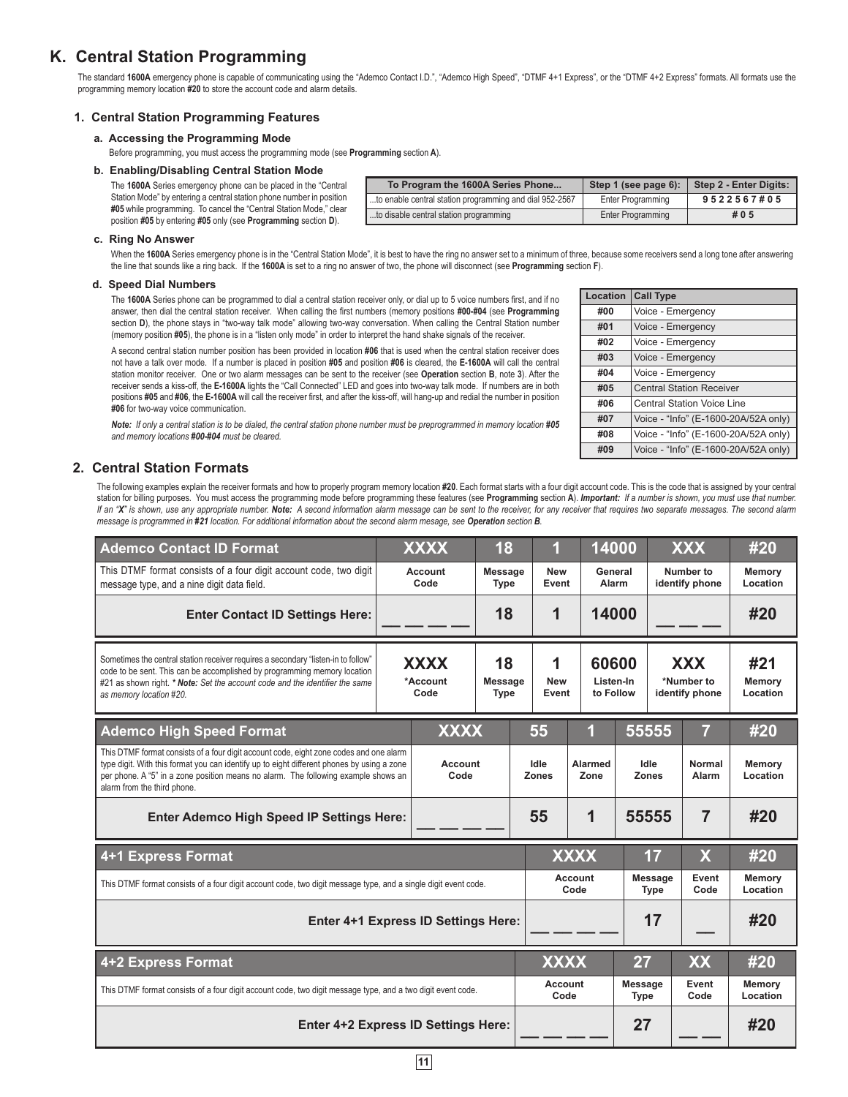### **K. Central Station Programming**

The standard **1600A** emergency phone is capable of communicating using the "Ademco Contact I.D.", "Ademco High Speed", "DTMF 4+1 Express", or the "DTMF 4+2 Express" formats. All formats use the programming memory location **#20** to store the account code and alarm details.

#### **1. Central Station Programming Features**

#### **a. Accessing the Programming Mode**

Before programming, you must access the programming mode (see **Programming** section **A**).

#### **b. Enabling/Disabling Central Station Mode**

The **1600A** Series emergency phone can be placed in the "Central Station Mode" by entering a central station phone number in position **#05** while programming. To cancel the "Central Station Mode," clear position **#05** by entering **#05** only (see **Programming** section **D**).

| To Program the 1600A Series Phone                       | Step 1 (see page 6): | Step 2 - Enter Digits: |
|---------------------------------------------------------|----------------------|------------------------|
| to enable central station programming and dial 952-2567 | Enter Programming    | 9522567#05             |
| to disable central station programming                  | Enter Programming    | #05                    |

**Location Call Type**

#### **c. Ring No Answer**

When the 1600A Series emergency phone is in the "Central Station Mode", it is best to have the ring no answer set to a minimum of three, because some receivers send a long tone after answering the line that sounds like a ring back. If the **1600A** is set to a ring no answer of two, the phone will disconnect (see **Programming** section **F**).

#### **d. Speed Dial Numbers**

The **1600A** Series phone can be programmed to dial a central station receiver only, or dial up to 5 voice numbers first, and if no answer, then dial the central station receiver. When calling the first numbers (memory positions **#00-#04** (see **Programming**  section **D**), the phone stays in "two-way talk mode" allowing two-way conversation. When calling the Central Station number (memory position **#05**), the phone is in a "listen only mode" in order to interpret the hand shake signals of the receiver.

A second central station number position has been provided in location **#06** that is used when the central station receiver does not have a talk over mode. If a number is placed in position **#05** and position **#06** is cleared, the **E-1600A** will call the central station monitor receiver. One or two alarm messages can be sent to the receiver (see **Operation** section **B**, note **3**). After the receiver sends a kiss-off, the **E-1600A** lights the "Call Connected" LED and goes into two-way talk mode. If numbers are in both positions **#05** and **#06**, the **E-1600A** will call the receiver first, and after the kiss-off, will hang-up and redial the number in position **#06** for two-way voice communication.

*Note:* If only a central station is to be dialed, the central station phone number must be preprogrammed in memory location #05 *and memory locations #00-#04 must be cleared.*

#### **2. Central Station Formats**

|                                                                                                                                                                                                           | . |  |
|-----------------------------------------------------------------------------------------------------------------------------------------------------------------------------------------------------------|---|--|
| Central Station Formats                                                                                                                                                                                   |   |  |
| The following examples explain the receiver formats and how to properly program memory location #20. Each format starts with a four digit account code. This is the code that is assigned by your central |   |  |
| station for billing purposes. You must access the programming mode before programming these features (see Programming section A). Important: If a number is shown, you must use that number.              |   |  |
| If an "X" is shown, use any appropriate number. Note: A second information alarm message can be sent to the receiver, for any receiver that requires two separate messages. The second alarm              |   |  |
| message is programmed in #21 location. For additional information about the second alarm mesage, see Operation section B                                                                                  |   |  |

| <b>Ademco Contact ID Format</b>                                                                                                                                                                                                                                                                           |                                                                        | <b>XXXX</b>            | 18                            | 1                                        |                               | 14000                   |                                            | <b>XXX</b>                  | #20                |
|-----------------------------------------------------------------------------------------------------------------------------------------------------------------------------------------------------------------------------------------------------------------------------------------------------------|------------------------------------------------------------------------|------------------------|-------------------------------|------------------------------------------|-------------------------------|-------------------------|--------------------------------------------|-----------------------------|--------------------|
| This DTMF format consists of a four digit account code, two digit<br>message type, and a nine digit data field.                                                                                                                                                                                           |                                                                        | Account<br>Code        | <b>Message</b><br><b>Type</b> | <b>New</b><br>Event                      |                               | General<br>Alarm        |                                            | Number to<br>identify phone | Memory<br>Location |
| <b>Enter Contact ID Settings Here:</b>                                                                                                                                                                                                                                                                    |                                                                        |                        | 18                            | 1                                        |                               | 14000                   |                                            |                             | #20                |
| Sometimes the central station receiver requires a secondary "listen-in to follow"<br>code to be sent. This can be accomplished by programming memory location<br>#21 as shown right. * Note: Set the account code and the identifier the same<br>as memory location #20.                                  | 18<br><b>XXXX</b><br>*Account<br><b>Message</b><br>Code<br><b>Type</b> |                        | 1<br><b>New</b>               | 60600<br>Listen-In<br>to Follow<br>Event |                               |                         | <b>XXX</b><br>*Number to<br>identify phone | #21<br>Memory<br>Location   |                    |
| <b>Ademco High Speed Format</b>                                                                                                                                                                                                                                                                           | <b>XXXX</b>                                                            |                        | 55                            |                                          |                               | 55555                   |                                            | #20                         |                    |
| This DTMF format consists of a four digit account code, eight zone codes and one alarm<br>type digit. With this format you can identify up to eight different phones by using a zone<br>per phone. A "5" in a zone position means no alarm. The following example shows an<br>alarm from the third phone. | Account<br>Code                                                        |                        | Idle<br><b>Zones</b>          | <b>Alarmed</b><br>Zone                   |                               | Idle<br><b>Zones</b>    | Normal<br>Alarm                            | Memory<br>Location          |                    |
| <b>Enter Ademco High Speed IP Settings Here:</b>                                                                                                                                                                                                                                                          |                                                                        |                        |                               | 55                                       | 1                             |                         | 55555                                      | 7                           | #20                |
| 4+1 Express Format                                                                                                                                                                                                                                                                                        |                                                                        | <b>XXXX</b>            |                               | 17                                       |                               | $\overline{\mathsf{X}}$ | #20                                        |                             |                    |
| This DTMF format consists of a four digit account code, two digit message type, and a single digit event code.                                                                                                                                                                                            |                                                                        | <b>Account</b><br>Code |                               |                                          | <b>Message</b><br><b>Type</b> | Event<br>Code           | Memory<br>Location                         |                             |                    |
| Enter 4+1 Express ID Settings Here:                                                                                                                                                                                                                                                                       |                                                                        |                        |                               | 17                                       |                               |                         | #20                                        |                             |                    |
| 4+2 Express Format                                                                                                                                                                                                                                                                                        |                                                                        | <b>XXXX</b>            |                               | 27                                       |                               | XX                      | #20                                        |                             |                    |
| This DTMF format consists of a four digit account code, two digit message type, and a two digit event code.                                                                                                                                                                                               |                                                                        | Account<br>Code        |                               | <b>Message</b><br><b>Type</b>            |                               | Event<br>Code           | Memory<br>Location                         |                             |                    |
| <b>Enter 4+2 Express ID Settings Here:</b>                                                                                                                                                                                                                                                                |                                                                        |                        |                               | 27                                       |                               |                         | #20                                        |                             |                    |

| #00 | Voice - Emergency                    |
|-----|--------------------------------------|
| #01 | Voice - Emergency                    |
| #02 | Voice - Emergency                    |
| #03 | Voice - Emergency                    |
| #04 | Voice - Emergency                    |
| #05 | <b>Central Station Receiver</b>      |
| #06 | <b>Central Station Voice Line</b>    |
| #07 | Voice - "Info" (E-1600-20A/52A only) |
| #08 | Voice - "Info" (E-1600-20A/52A only) |
| #09 | Voice - "Info" (E-1600-20A/52A only) |